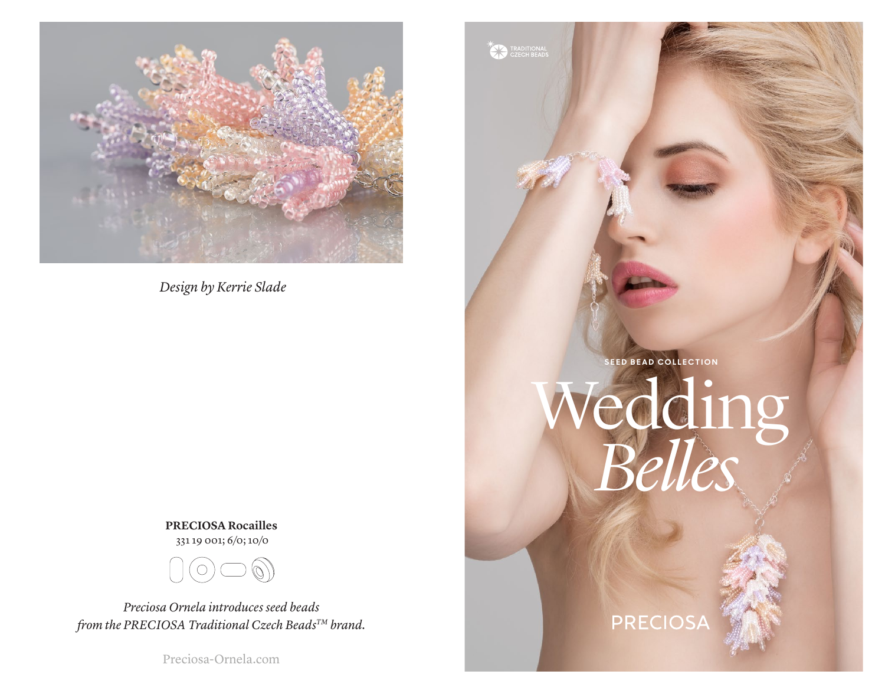

*Design by Kerrie Slade*

**PRECIOSA Rocailles** 331 19 001; 6/0; 10/0



*Preciosa Ornela introduces seed beads from the PRECIOSA Traditional Czech BeadsTM brand.*

Preciosa-Ornela.com

**SEED BEAD COLLECTION** Wedding *Belles*

**EXAMPLE TRADITIONAL** 

## PRECIOSA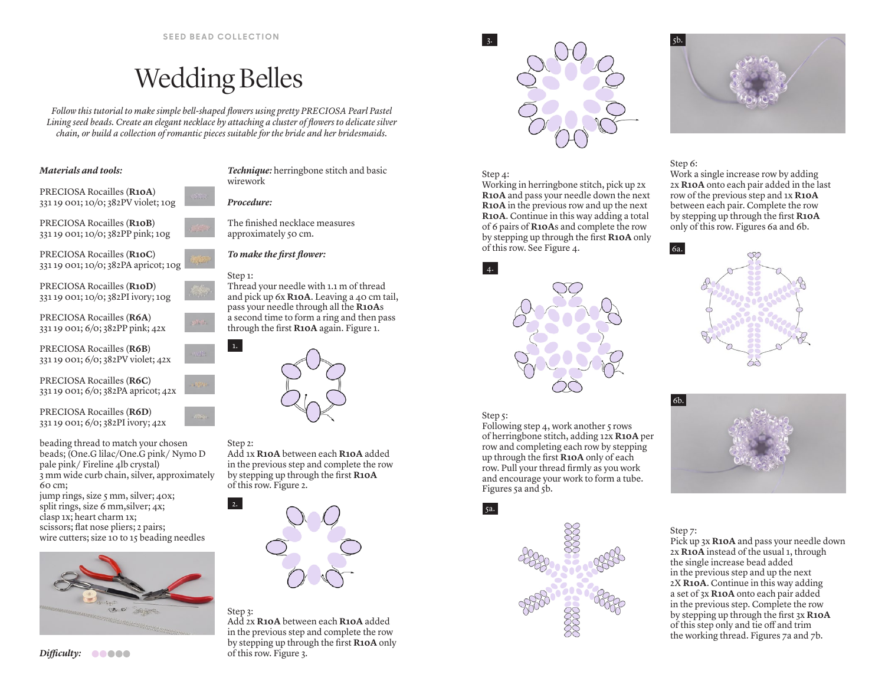# Wedding Belles

*Follow this tutorial to make simple bell-shaped flowers using pretty PRECIOSA Pearl Pastel Lining seed beads. Create an elegant necklace by attaching a cluster of flowers to delicate silver chain, or build a collection of romantic pieces suitable for the bride and her bridesmaids.*

## *Materials and tools:*

PRECIOSA Rocailles (**R10A**) 331 19 001; 10/0; 382PV violet; 10g

PRECIOSA Rocailles (**R10B**) 331 19 001; 10/0; 382PP pink; 10g



PRECIOSA Rocailles (**R10D**) 331 19 001; 10/0; 382PI ivory; 10g

PRECIOSA Rocailles (**R6A**) 331 19 001; 6/0; 382PP pink; 42x



PRECIOSA Rocailles (**R6C**) 331 19 001; 6/0; 382PA apricot; 42x

PRECIOSA Rocailles (**R6D**) 331 19 001; 6/0; 382PI ivory; 42x

beading thread to match your chosen beads; (One.G lilac/One.G pink/ Nymo D pale pink/ Fireline 4lb crystal) 3 mm wide curb chain, silver, approximately  $60 \text{ cm}$ ;

jump rings, size 5 mm, silver; 40x; split rings, size 6 mm, silver;  $4x$ ; clasp 1x; heart charm 1x; scissors; flat nose pliers; 2 pairs; wire cutters; size 10 to 15 beading needles



wirework *Procedure:*

The finished necklace measures approximately 50 cm.

*Technique:* herringbone stitch and basic

*To make the first flower:*

## Step 1:

1.

Thread your needle with 1.1 m of thread and pick up 6x **R10A**. Leaving a 40 cm tail, pass your needle through all the **R10A**s a second time to form a ring and then pass through the first **R10A** again. Figure 1.



## Step 2:

Add 1x **R10A** between each **R10A** added in the previous step and complete the row by stepping up through the first **R10A** of this row. Figure 2.



## Step 3:

Add 2x **R10A** between each **R10A** added in the previous step and complete the row by stepping up through the first **R10A** only of this row. Figure 3.



## Step 4:

 $\vert$  3.

Working in herringbone stitch, pick up 2x **R10A** and pass your needle down the next **R10A** in the previous row and up the next **R10A**. Continue in this way adding a total of 6 pairs of **R10A**s and complete the row by stepping up through the first **R10A** only of this row. See Figure 4.



## Step 5:

5a.

 $\vert$  4.

Following step 4, work another  $\varsigma$  rows of herringbone stitch, adding 12x **R10A** per row and completing each row by stepping up through the first **R10A** only of each row. Pull your thread firmly as you work and encourage your work to form a tube. Figures 5a and 5b.



## Step 7:

Pick up 3x **R10A** and pass your needle down 2x **R10A** instead of the usual 1, through the single increase bead added in the previous step and up the next 2X **R10A**. Continue in this way adding a set of 3x **R10A** onto each pair added in the previous step. Complete the row by stepping up through the first 3x **R10A** of this step only and tie off and trim the working thread. Figures 7a and 7b.



## Step 6:

Work a single increase row by adding 2x **R10A** onto each pair added in the last row of the previous step and 1x **R10A** between each pair. Complete the row by stepping up through the first **R10A** only of this row. Figures 6a and 6b.